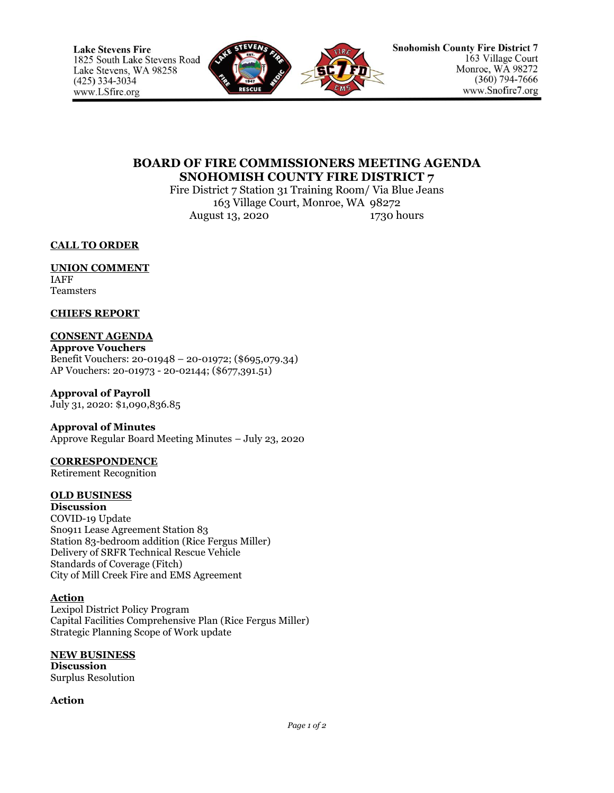

# **BOARD OF FIRE COMMISSIONERS MEETING AGENDA SNOHOMISH COUNTY FIRE DISTRICT 7**

Fire District 7 Station 31 Training Room/ Via Blue Jeans 163 Village Court, Monroe, WA 98272 August 13, 2020 1730 hours

**CALL TO ORDER**

# **UNION COMMENT**

IAFF **Teamsters** 

### **CHIEFS REPORT**

## **CONSENT AGENDA**

**Approve Vouchers** Benefit Vouchers: 20-01948 – 20-01972; (\$695,079.34) AP Vouchers: 20-01973 - 20-02144; (\$677,391.51)

#### **Approval of Payroll** July 31, 2020: \$1,090,836.85

**Approval of Minutes**

Approve Regular Board Meeting Minutes – July 23, 2020

# **CORRESPONDENCE**

Retirement Recognition

## **OLD BUSINESS**

**Discussion** COVID-19 Update Sno911 Lease Agreement Station 83 Station 83-bedroom addition (Rice Fergus Miller) Delivery of SRFR Technical Rescue Vehicle Standards of Coverage (Fitch) City of Mill Creek Fire and EMS Agreement

#### **Action**

Lexipol District Policy Program Capital Facilities Comprehensive Plan (Rice Fergus Miller) Strategic Planning Scope of Work update

#### **NEW BUSINESS**

**Discussion** Surplus Resolution

#### **Action**